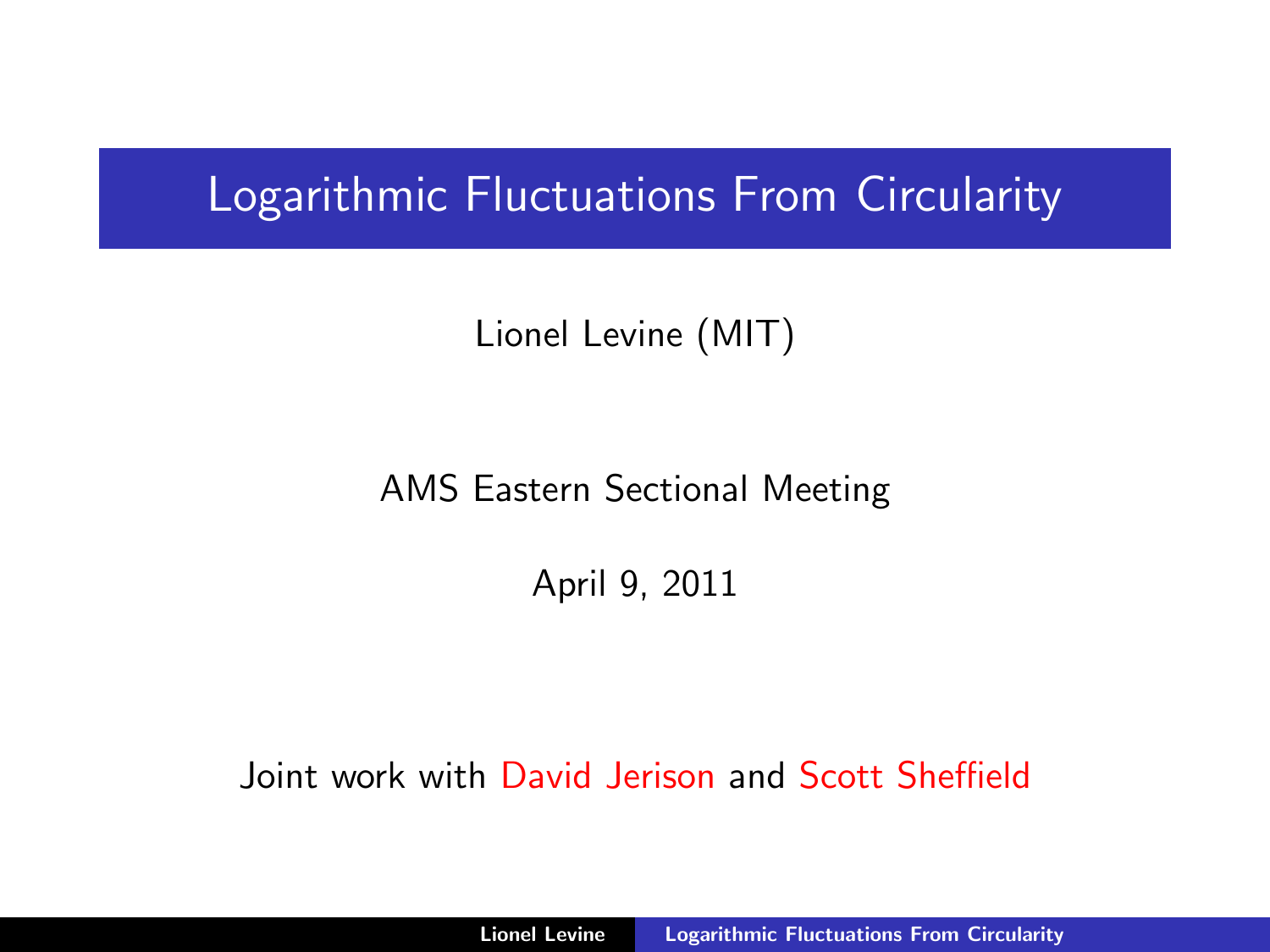# Logarithmic Fluctuations From Circularity

Lionel Levine (MIT)

AMS Eastern Sectional Meeting

<span id="page-0-0"></span>April 9, 2011

Joint work with David Jerison and Scott Sheffield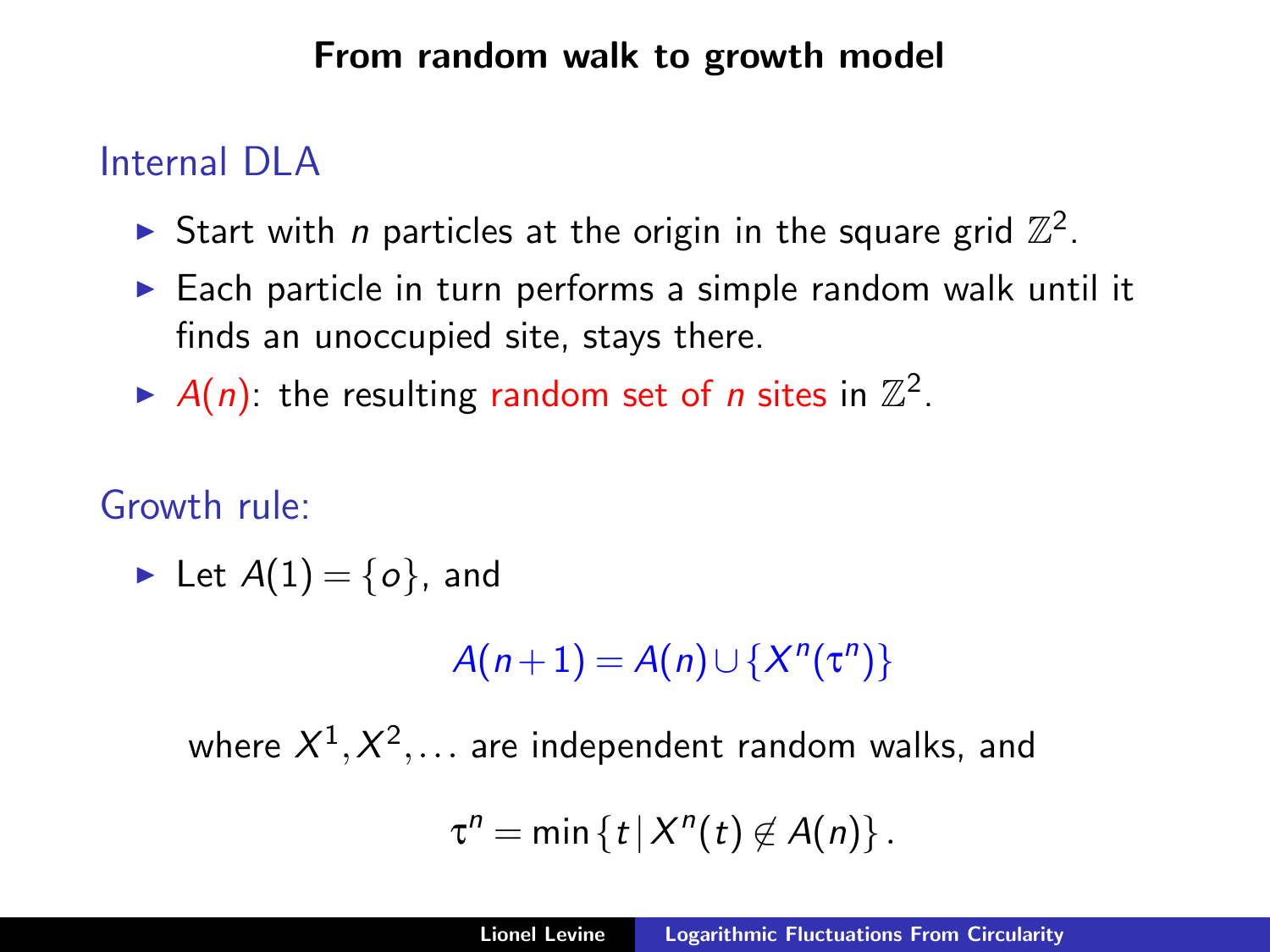### From random walk to growth model

## Internal DLA

- Start with *n* particles at the origin in the square grid  $\mathbb{Z}^2$ .
- $\triangleright$  Each particle in turn performs a simple random walk until it finds an unoccupied site, stays there.
- A(n): the resulting random set of *n* sites in  $\mathbb{Z}^2$ .

## Growth rule:

lacktriangleright Let  $A(1) = \{o\}$ , and

 $A(n+1) = A(n) \cup \{X^{n}(\tau^{n})\}$ 

where  $X^1,X^2,\ldots$  are independent random walks, and

$$
\tau^n=\min\left\{t\,|\,X^n(t)\not\in A(n)\right\}.
$$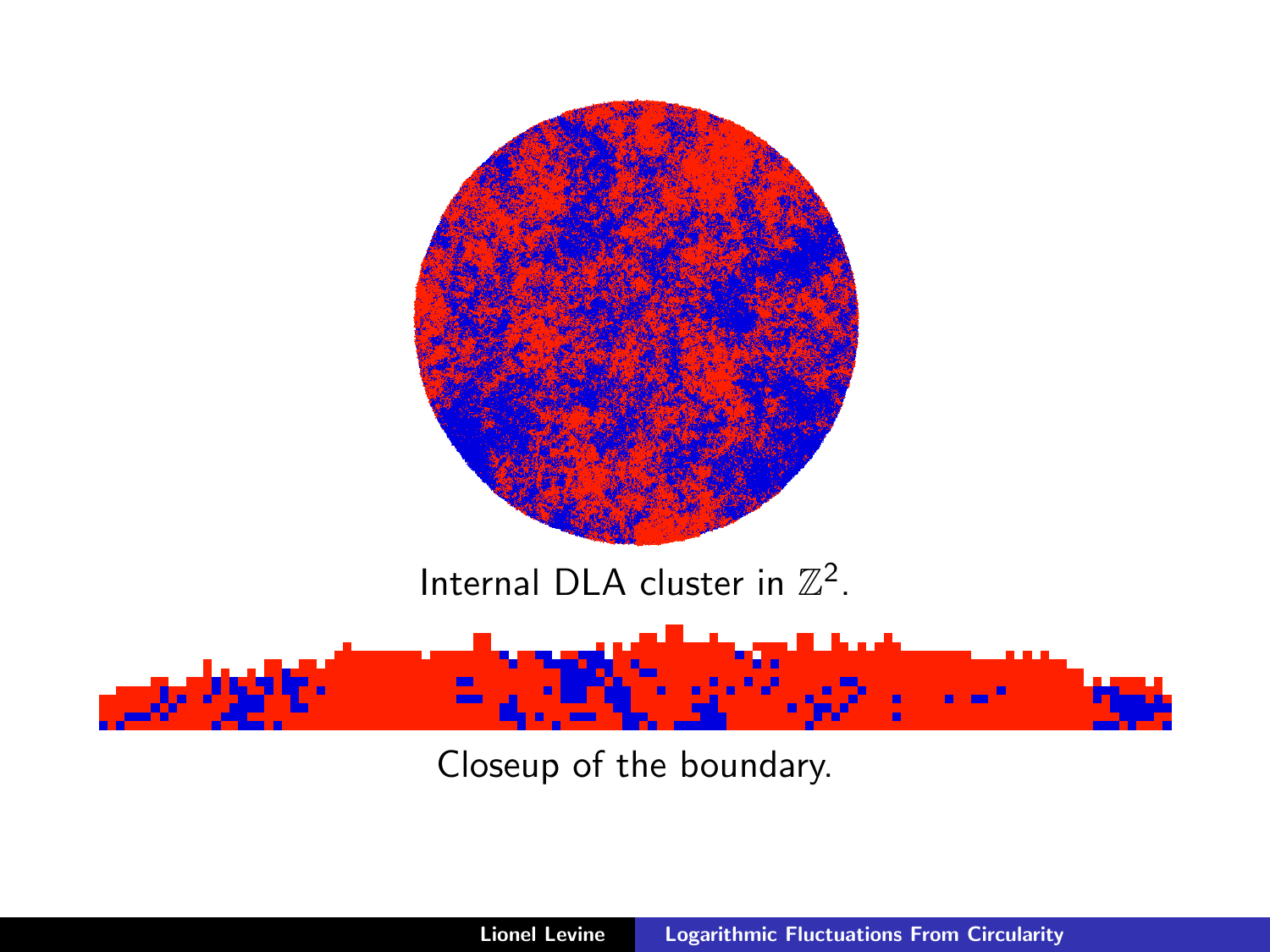

Closeup of the boundary.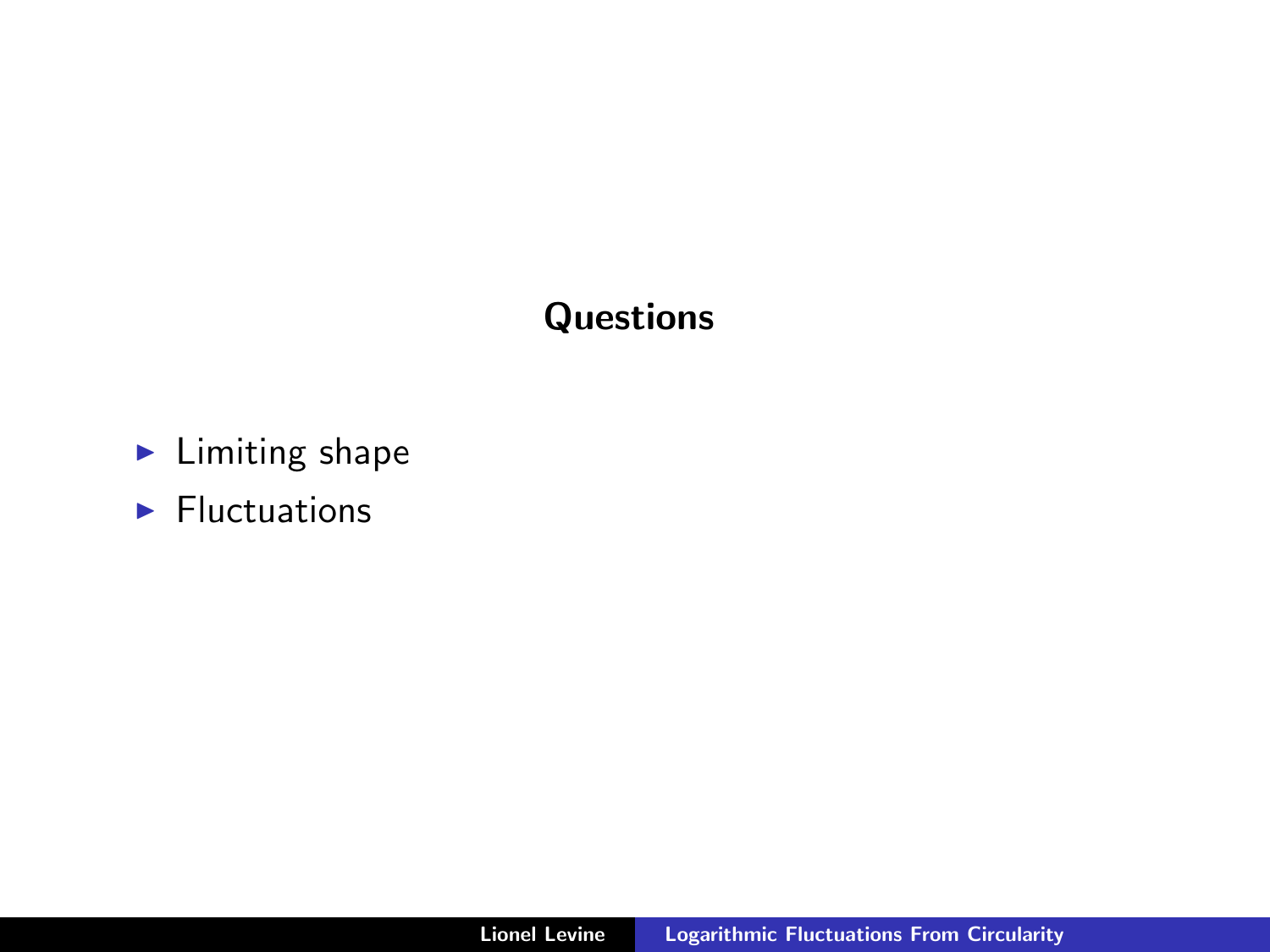## **Questions**

- $\blacktriangleright$  Limiting shape
- $\blacktriangleright$  Fluctuations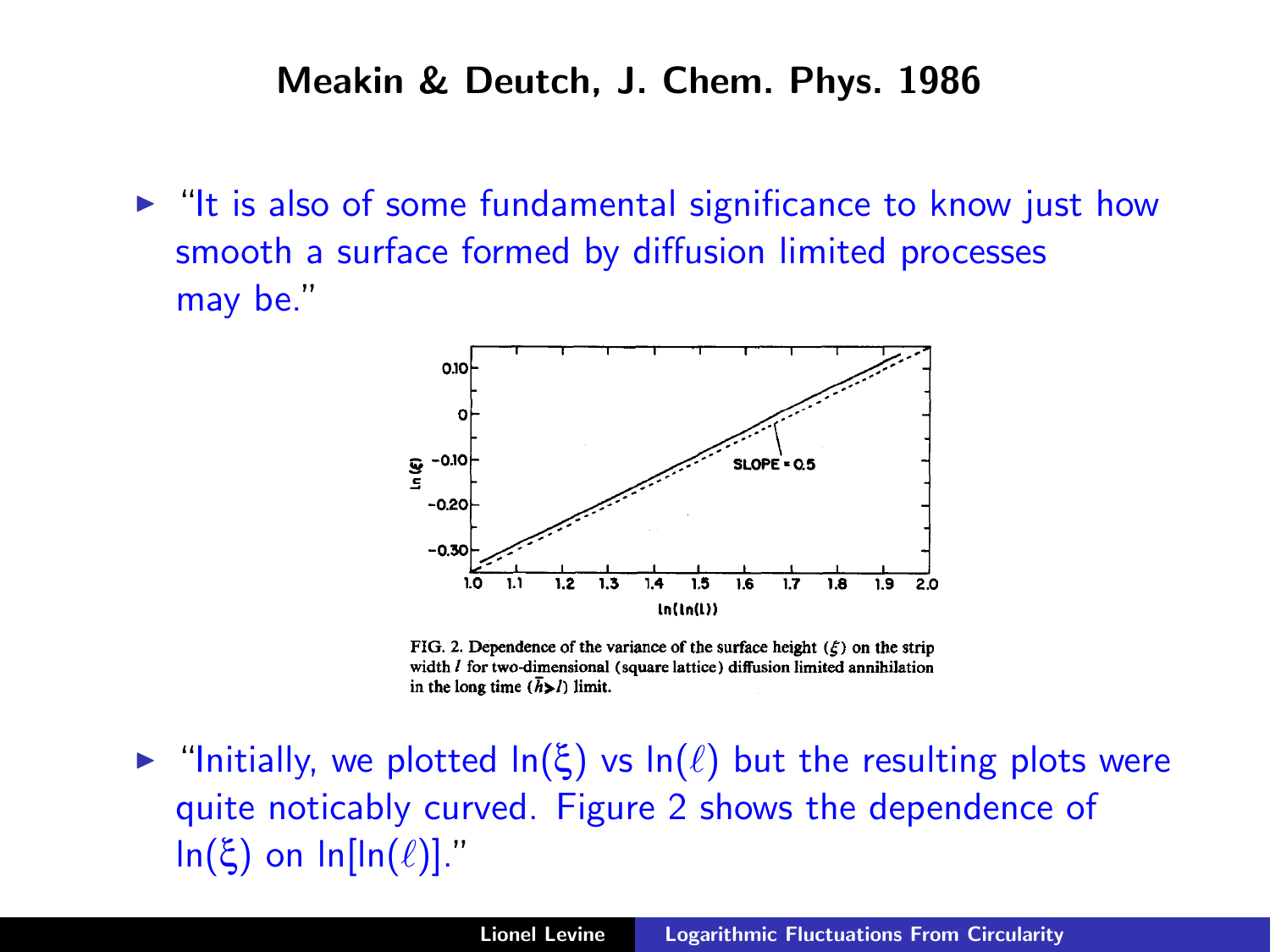#### Meakin & Deutch, J. Chem. Phys. 1986

 $\blacktriangleright$  "It is also of some fundamental significance to know just how smooth a surface formed by diffusion limited processes may be."



FIG. 2. Dependence of the variance of the surface height  $(\xi)$  on the strip width  $I$  for two-dimensional (square lattice) diffusion limited annihilation in the long time  $(\bar{h} > l)$  limit.

 $\triangleright$  "Initially, we plotted  $\ln(\xi)$  vs  $\ln(\ell)$  but the resulting plots were quite noticably curved. Figure 2 shows the dependence of ln(ξ) on ln[ln( $\ell$ )]."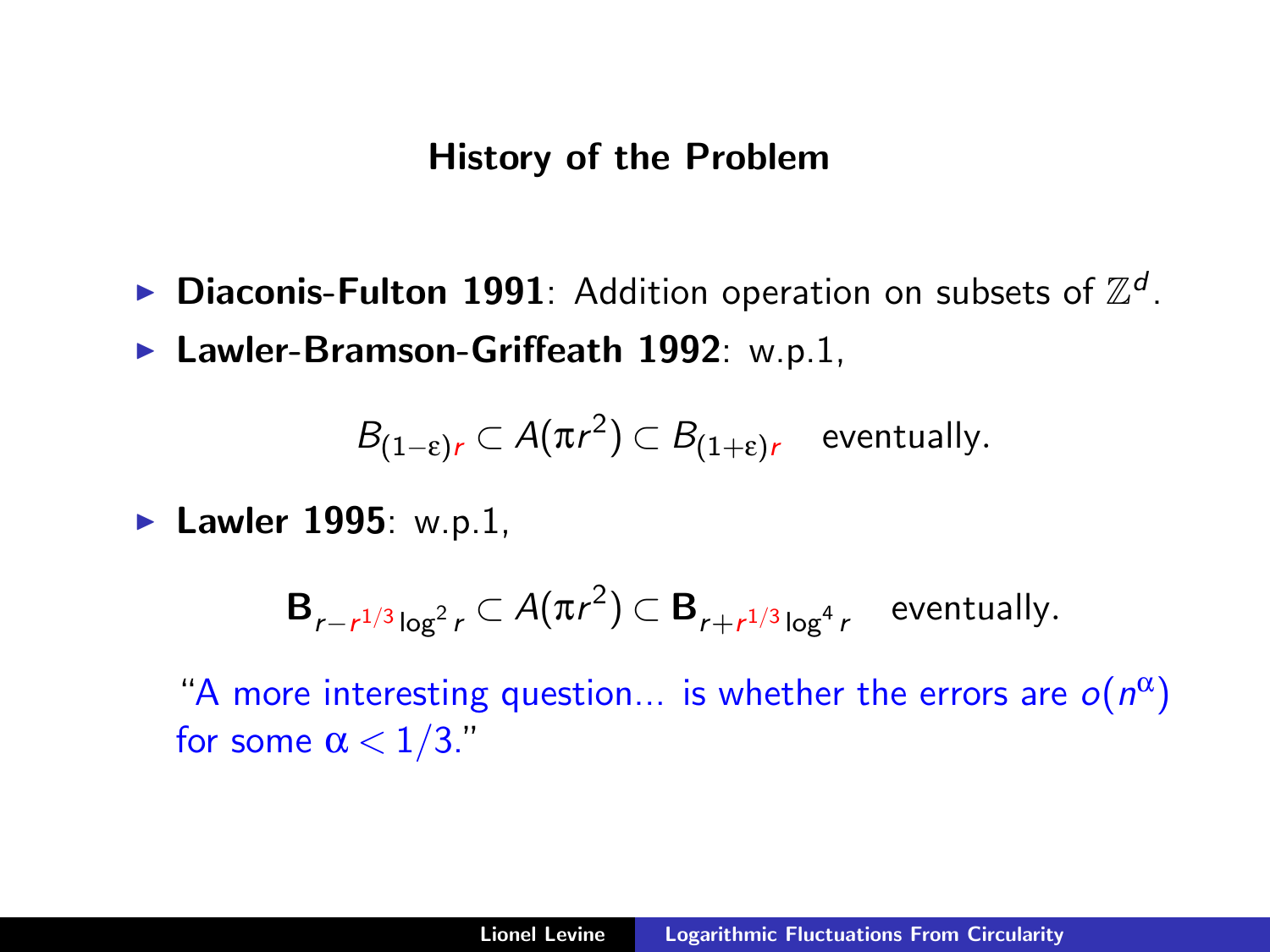### History of the Problem

- $\blacktriangleright$  Diaconis-Fulton 1991: Addition operation on subsets of  $\mathbb{Z}^d$ .
- $\blacktriangleright$  Lawler-Bramson-Griffeath 1992: w.p.1,

$$
B_{(1-\varepsilon)r} \subset A(\pi r^2) \subset B_{(1+\varepsilon)r} \quad \text{eventually.}
$$

 $\blacktriangleright$  Lawler 1995: w.p.1,

$$
\mathbf{B}_{r-r^{1/3}\log^2 r} \subset A(\pi r^2) \subset \mathbf{B}_{r+r^{1/3}\log^4 r}
$$
 eventually.

"A more interesting question... is whether the errors are  $o(n^{\alpha})$ for some  $\alpha < 1/3$ ."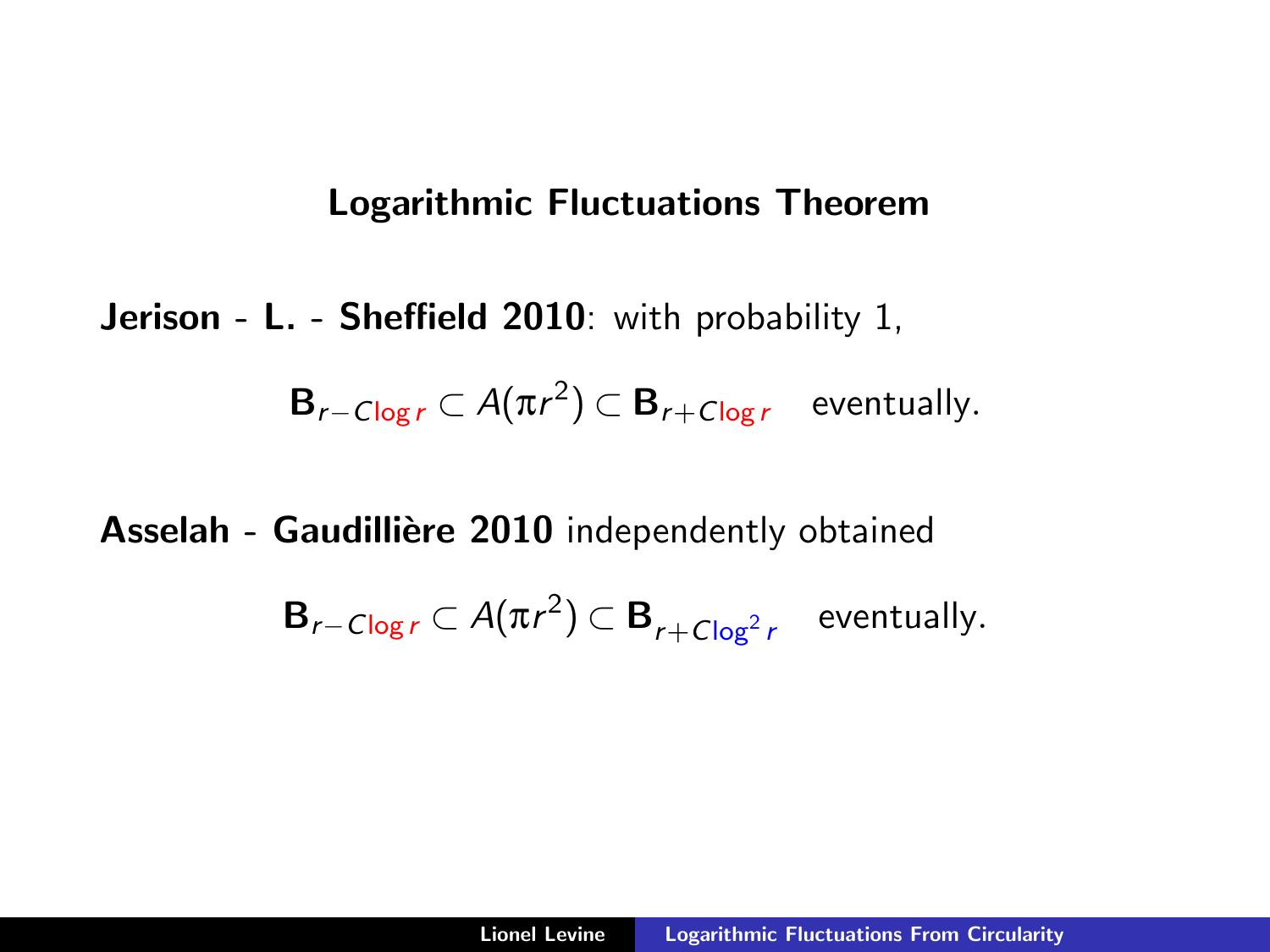## Logarithmic Fluctuations Theorem

Jerison - L. - Sheffield 2010: with probability 1,

$$
\mathbf{B}_{r-C\log r} \subset A(\pi r^2) \subset \mathbf{B}_{r+C\log r}
$$
 eventually.

Asselah - Gaudillière 2010 independently obtained

$$
\mathbf{B}_{r-C\log r} \subset A(\pi r^2) \subset \mathbf{B}_{r+C\log^2 r}
$$
 eventually.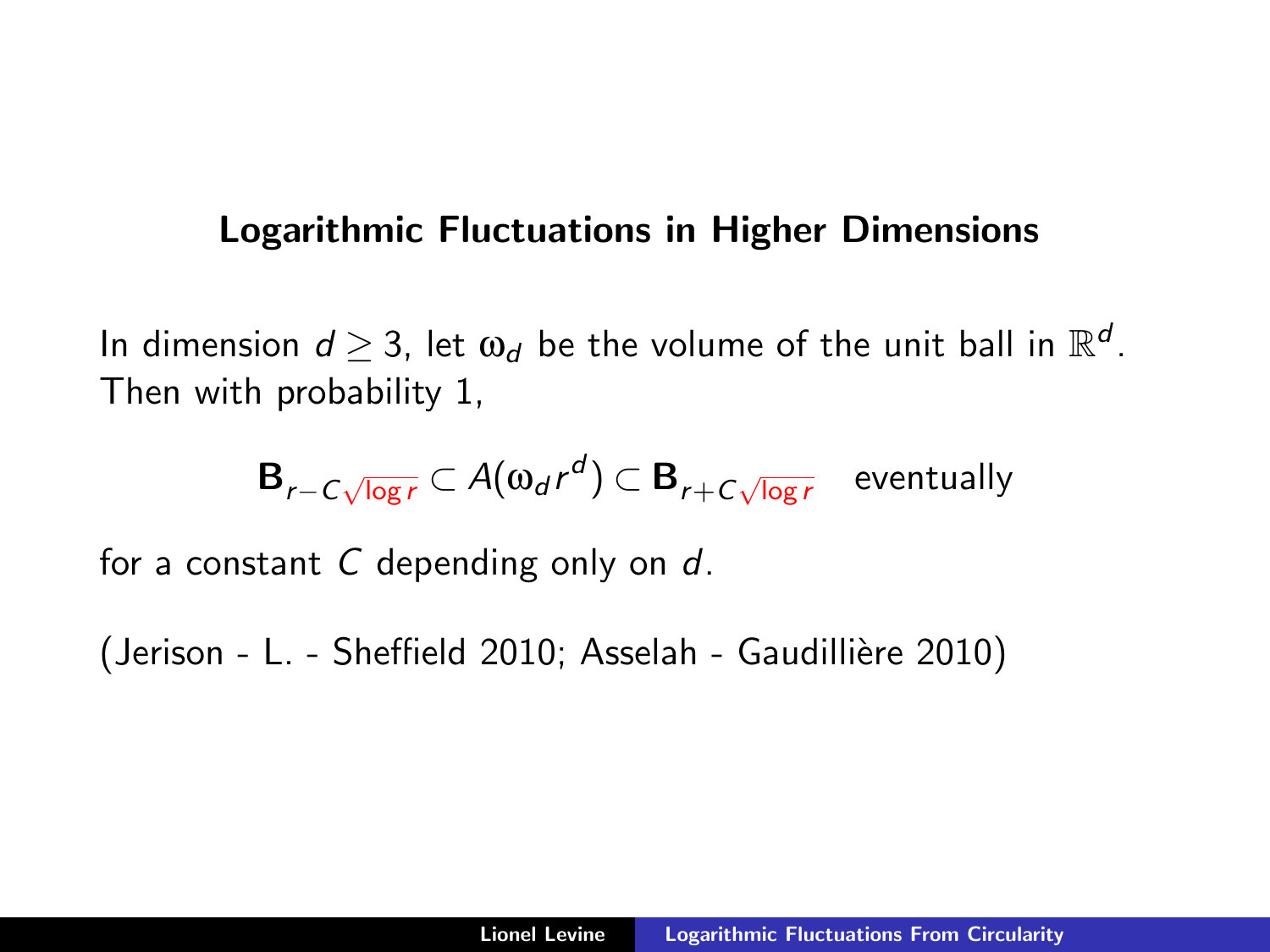### Logarithmic Fluctuations in Higher Dimensions

In dimension  $d\geq 3$ , let  $\omega_d$  be the volume of the unit ball in  $\mathbb{R}^d$ . Then with probability 1,

$$
\mathbf{B}_{r-C\sqrt{\log r}} \subset A(\omega_d r^d) \subset \mathbf{B}_{r+C\sqrt{\log r}} \quad \text{eventually}
$$

for a constant  $C$  depending only on  $d$ .

(Jerison - L. - Sheffield 2010; Asselah - Gaudillière 2010)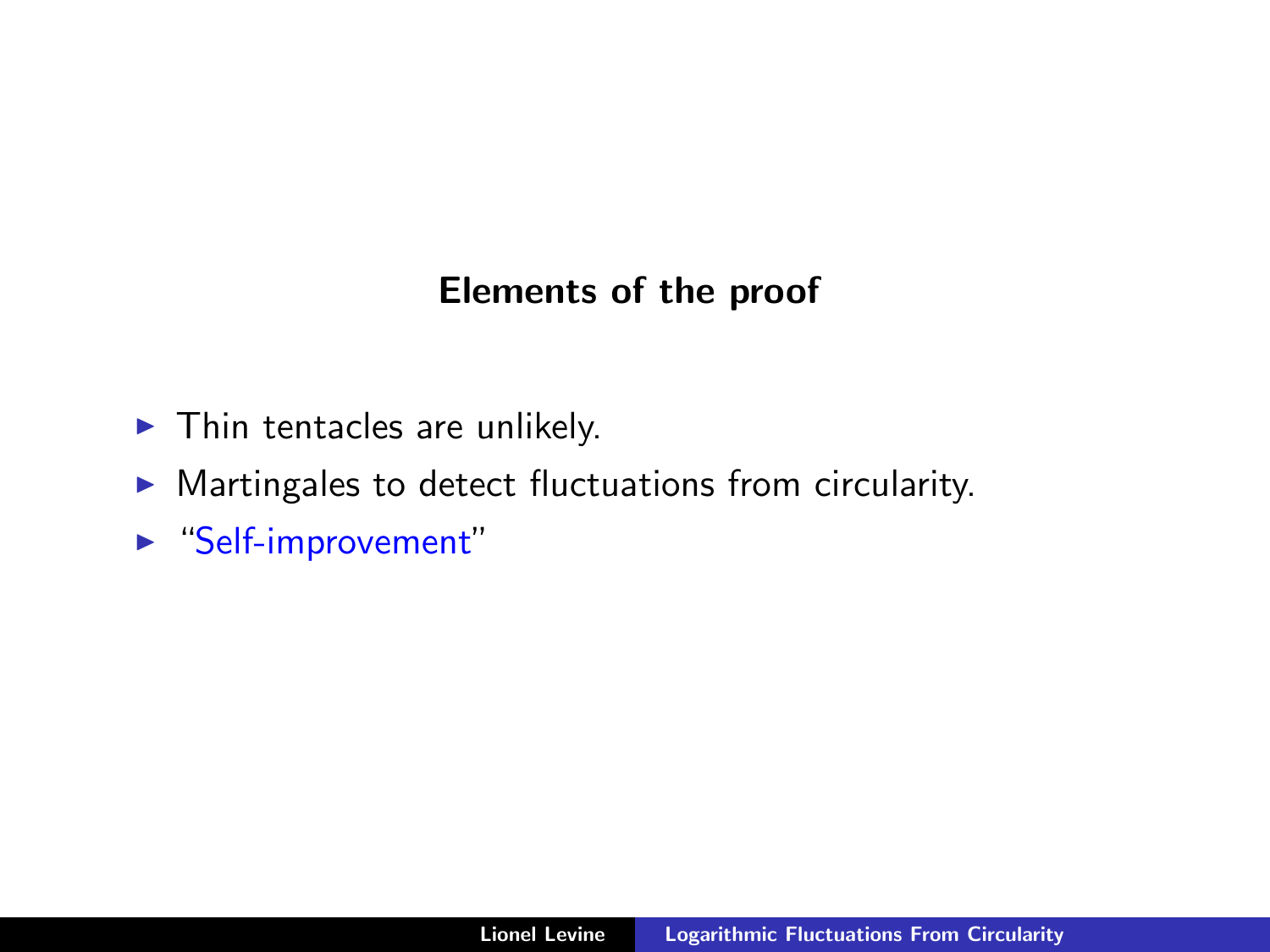## Elements of the proof

- $\blacktriangleright$  Thin tentacles are unlikely.
- $\triangleright$  Martingales to detect fluctuations from circularity.
- $\blacktriangleright$  "Self-improvement"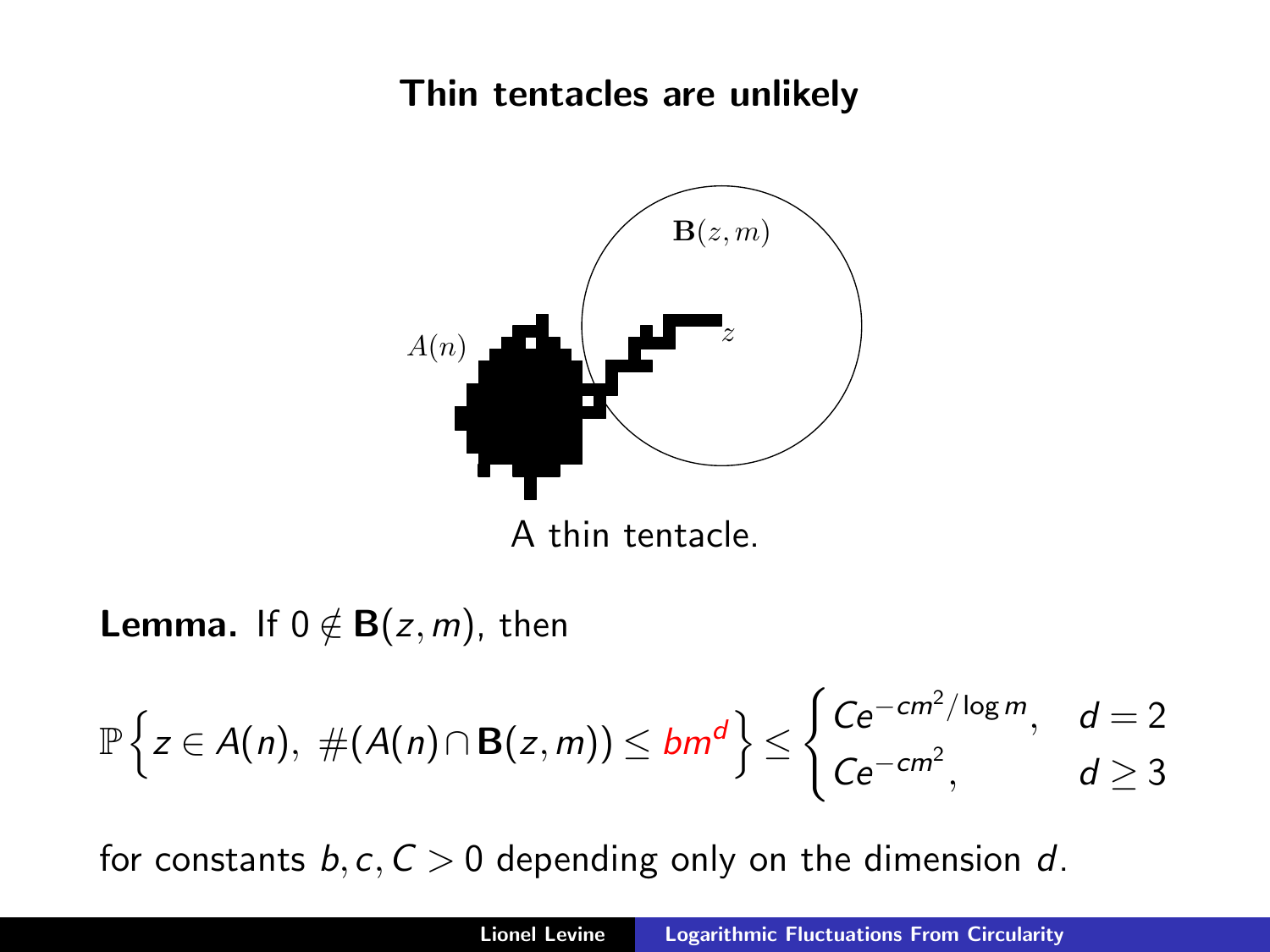## Thin tentacles are unlikely



A thin tentacle.

**Lemma.** If  $0 \notin B(z,m)$ , then

$$
\mathbb{P}\left\{z\in A(n),\ \#(A(n)\cap B(z,m))\leq bm^d\right\}\leq \begin{cases}Ce^{-cm^2/\log m}, & d=2\\ Ce^{-cm^2}, & d\geq 3\end{cases}
$$

for constants  $b, c, C > 0$  depending only on the dimension d.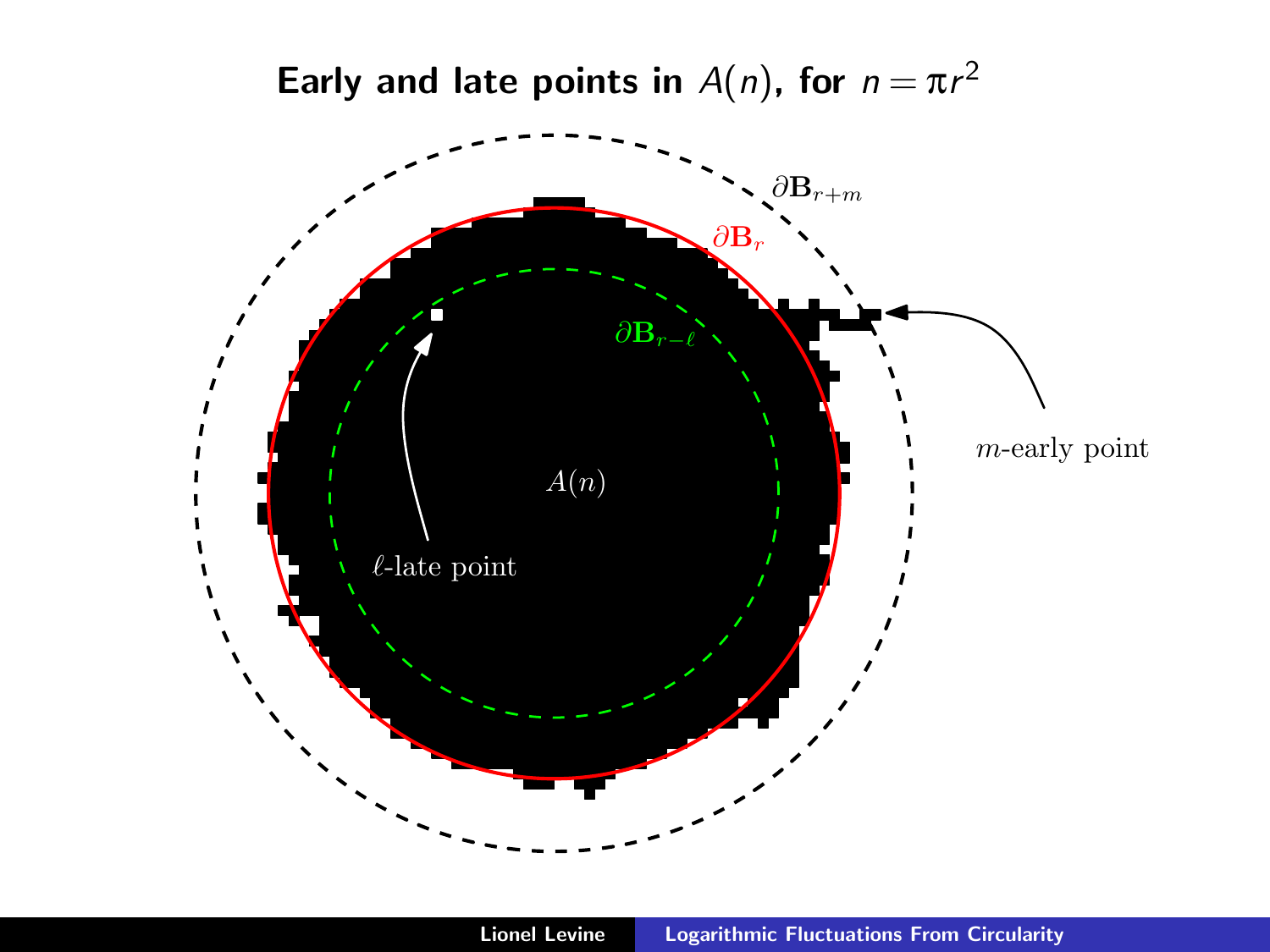Early and late points in  $A(n)$ , for  $n = \pi r^2$ 

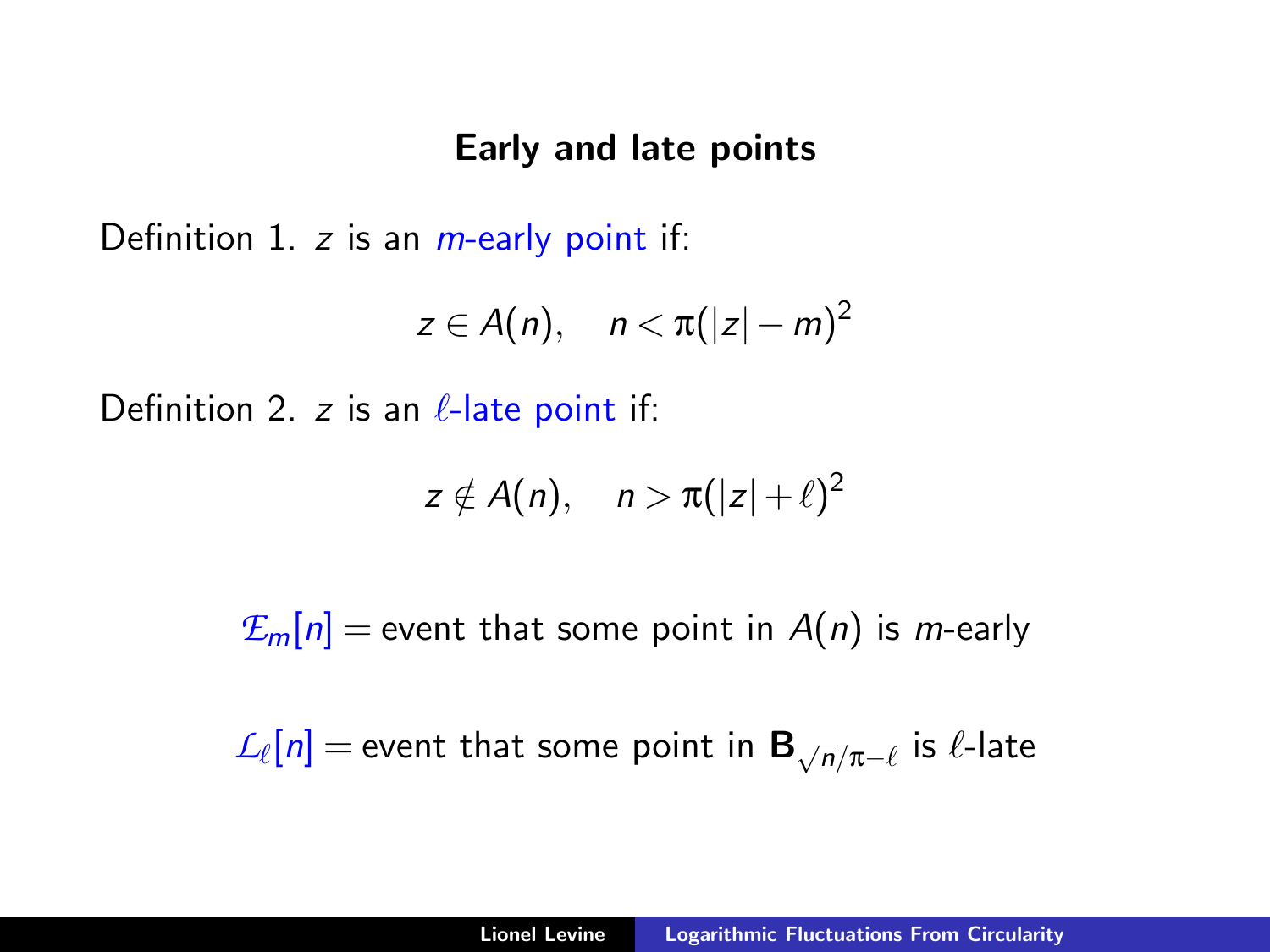#### Early and late points

Definition 1.  $z$  is an  $m$ -early point if:

$$
z\in A(n),\quad n<\pi(|z|-m)^2
$$

Definition 2. z is an  $\ell$ -late point if:

$$
z \notin A(n), \quad n > \pi(|z|+\ell)^2
$$

 $E_m[n]$  = event that some point in  $A(n)$  is *m*-early

 $\mathcal{L}_\ell[n] =$  event that some point in  $\mathbf{B}_{\sqrt{n}/\pi-\ell}$  is  $\ell$ -late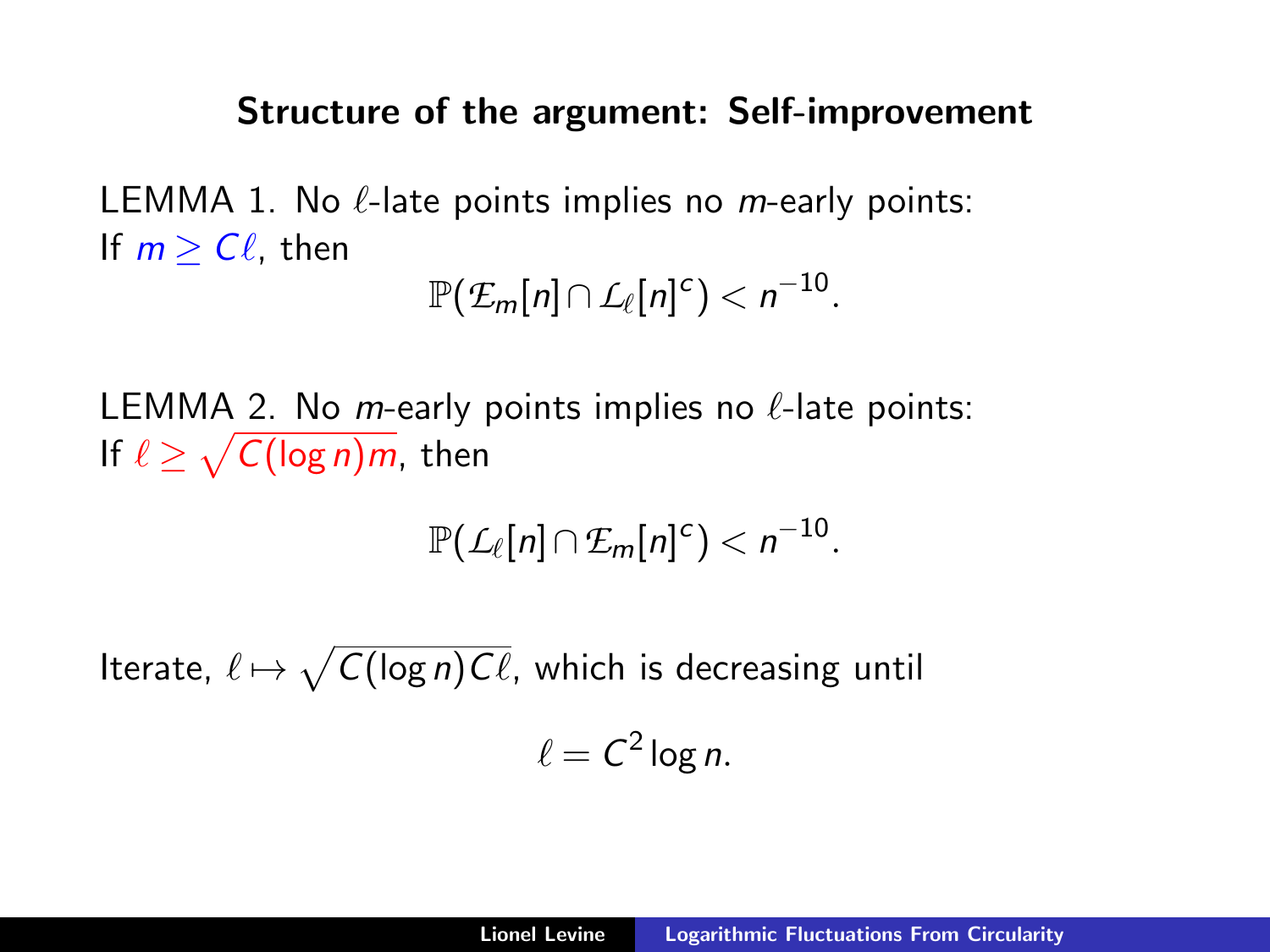#### Structure of the argument: Self-improvement

LEMMA 1. No  $\ell$ -late points implies no *m*-early points: If  $m > C\ell$ , then

$$
\mathbb{P}(\mathcal{L}_m[n] \cap \mathcal{L}_\ell[n]^c) < n^{-10}.
$$

LEMMA 2. No m-early points implies no  $\ell$ -late points: If  $\ell \geq \sqrt{\mathcal{C}(\log n)m}$ , then

$$
\mathbb{P}(\mathcal{L}_{\ell}[n] \cap \mathcal{E}_m[n]^c) < n^{-10}.
$$

Iterate,  $\ell \mapsto \sqrt{\mathcal{C}(\log n) \mathcal{C} \ell}$ , which is decreasing until  $\ell = C^2 \log n$ .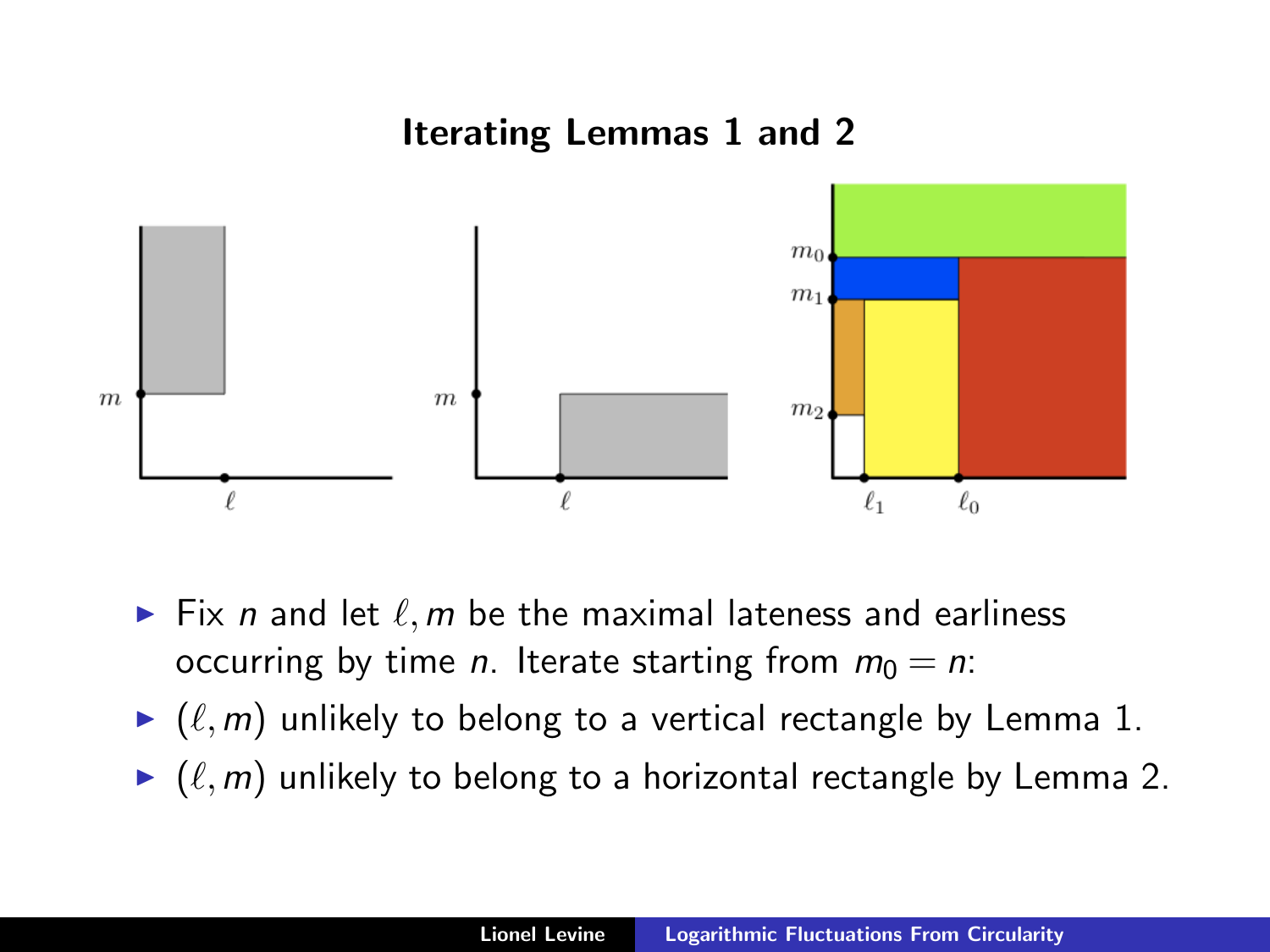## Iterating Lemmas 1 and 2



- $\blacktriangleright$  Fix n and let  $\ell, m$  be the maximal lateness and earliness occurring by time *n*. Iterate starting from  $m_0 = n$ .
- $\blacktriangleright$   $(\ell,m)$  unlikely to belong to a vertical rectangle by Lemma 1.
- $\blacktriangleright$   $(\ell,m)$  unlikely to belong to a horizontal rectangle by Lemma 2.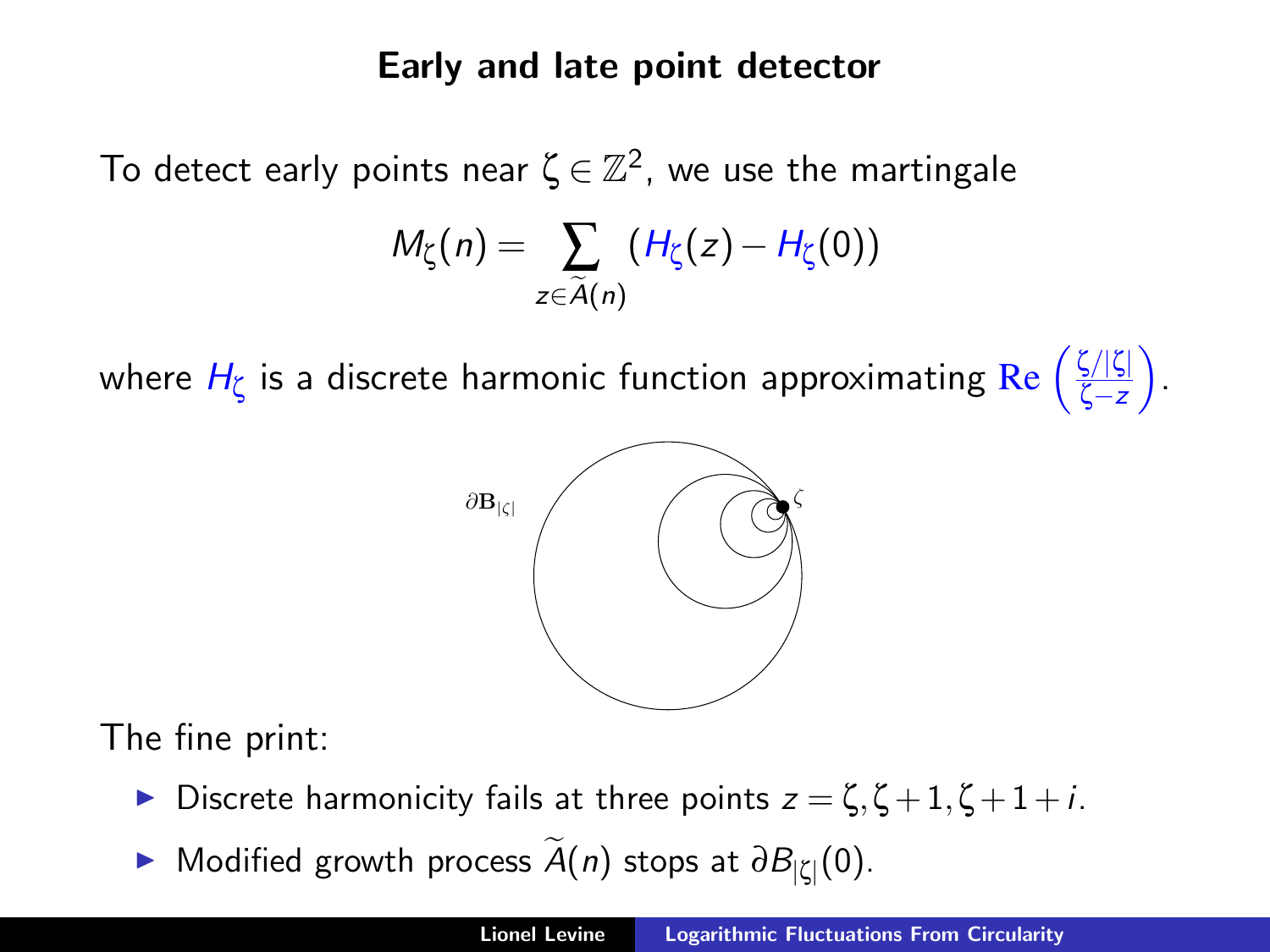### Early and late point detector

To detect early points near  $\zeta\,{\in}\,\mathbb{Z}^2$ , we use the martingale

$$
M_{\zeta}(n)=\sum_{z\in \widetilde{A}(n)}(H_{\zeta}(z)-H_{\zeta}(0))
$$

where  $H_{\zeta}$  is a discrete harmonic function approximating  $\text{Re} \left(\frac{\zeta/|\zeta|}{\zeta-z}\right)$ ζ−z .



The fine print:

- **Discrete harmonicity fails at three points**  $z = \zeta$ **,**  $\zeta + 1$ **,**  $\zeta + 1 + i$ **.**
- ► Modified growth process  $\widetilde{A}(n)$  stops at  $\partial B_{|\zeta|}(0)$ .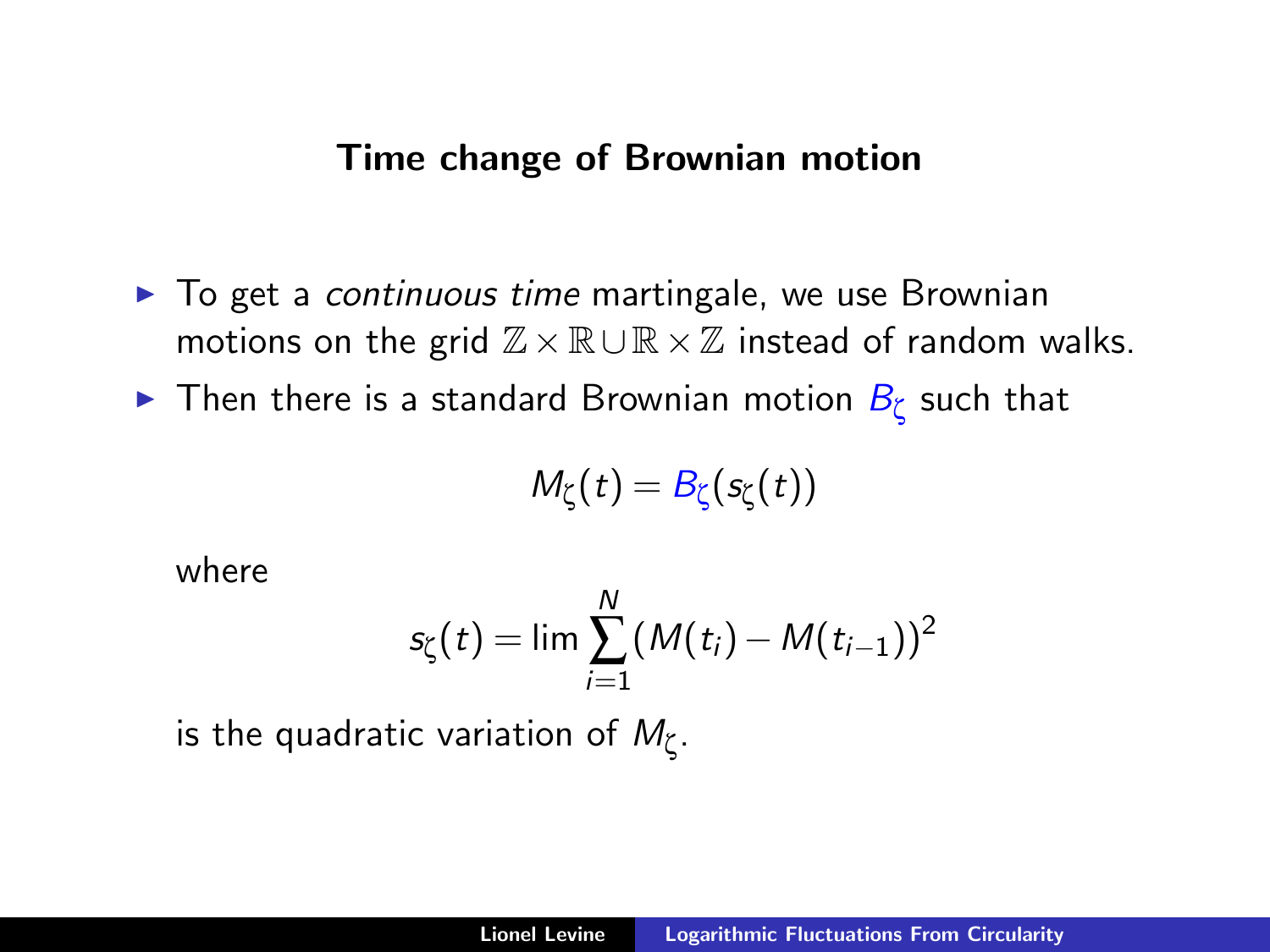#### Time change of Brownian motion

- $\blacktriangleright$  To get a *continuous time* martingale, we use Brownian motions on the grid  $\mathbb{Z}\times\mathbb{R}\cup\mathbb{R}\times\mathbb{Z}$  instead of random walks.
- $\blacktriangleright$  Then there is a standard Brownian motion  $B_\zeta$  such that

$$
M_{\zeta}(t)=B_{\zeta}(s_{\zeta}(t))
$$

where

$$
s_{\zeta}(t) = \lim \sum_{i=1}^{N} (M(t_i) - M(t_{i-1}))^2
$$

is the quadratic variation of  $M_\zeta.$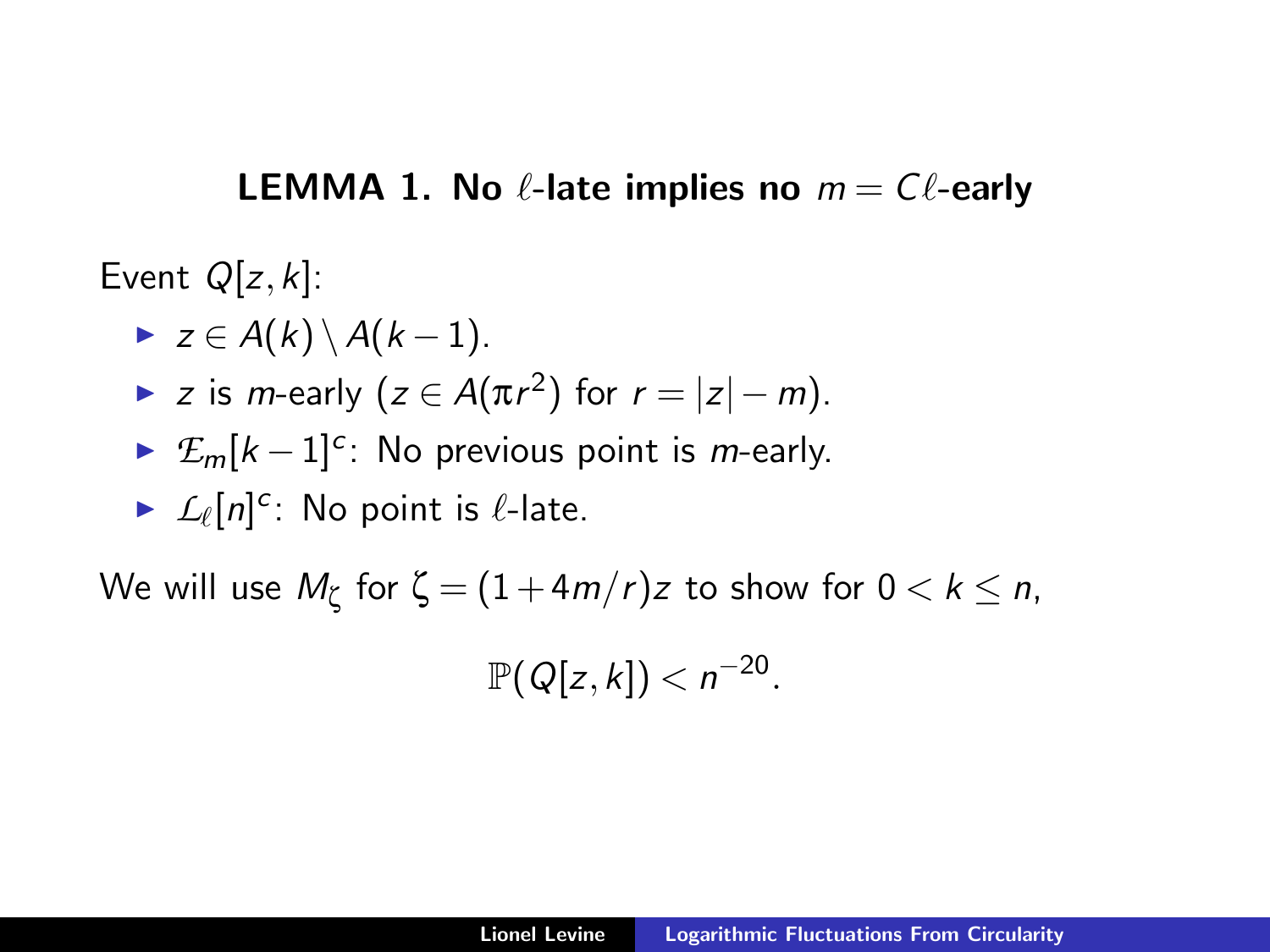## **LEMMA 1. No**  $\ell$ **-late implies no**  $m = C\ell$ **-early**

Event  $Q[z, k]$ :

$$
\blacktriangleright z \in A(k) \setminus A(k-1).
$$

- $\blacktriangleright$  z is *m*-early (z ∈ A(πr<sup>2</sup>) for  $r = |z| m$ ).
- ►  $\mathcal{E}_m[k-1]^{c}$ : No previous point is *m*-early.

$$
\triangleright \mathcal{L}_{\ell}[n]^{c} \colon \text{No point is } \ell\text{-late}.
$$

We will use  $M_\zeta$  for  $\zeta=(1\!+\!4m/r)z$  to show for  $0< k\leq n,$ 

$$
\mathbb{P}(Q[z,k]) < n^{-20}.
$$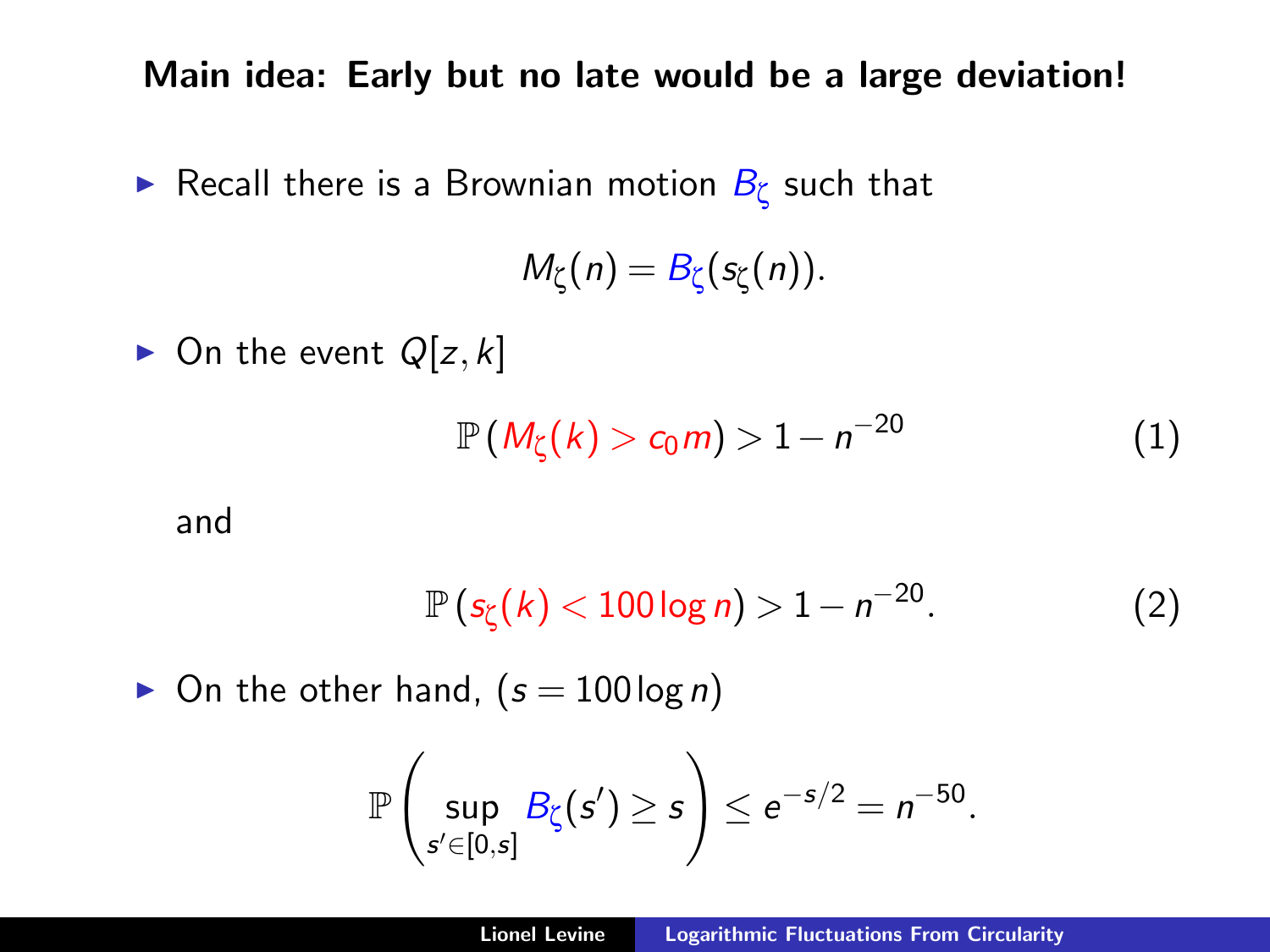Main idea: Early but no late would be a large deviation!

 $\blacktriangleright$  Recall there is a Brownian motion  $B_\zeta$  such that

$$
M_{\zeta}(n)=B_{\zeta}(s_{\zeta}(n)).
$$

 $\triangleright$  On the event  $Q[z, k]$ 

<span id="page-17-0"></span>
$$
\mathbb{P}\left(M_{\zeta}(k) > c_0 m\right) > 1 - n^{-20} \tag{1}
$$

and

<span id="page-17-1"></span>
$$
\mathbb{P}\left(s_{\zeta}(k) < 100\log n\right) > 1 - n^{-20}.\tag{2}
$$

 $\blacktriangleright$  On the other hand,  $(s = 100 \log n)$ 

$$
\mathbb{P}\left(\sup_{s'\in[0,s]}B_{\zeta}(s')\geq s\right)\leq e^{-s/2}=n^{-50}.
$$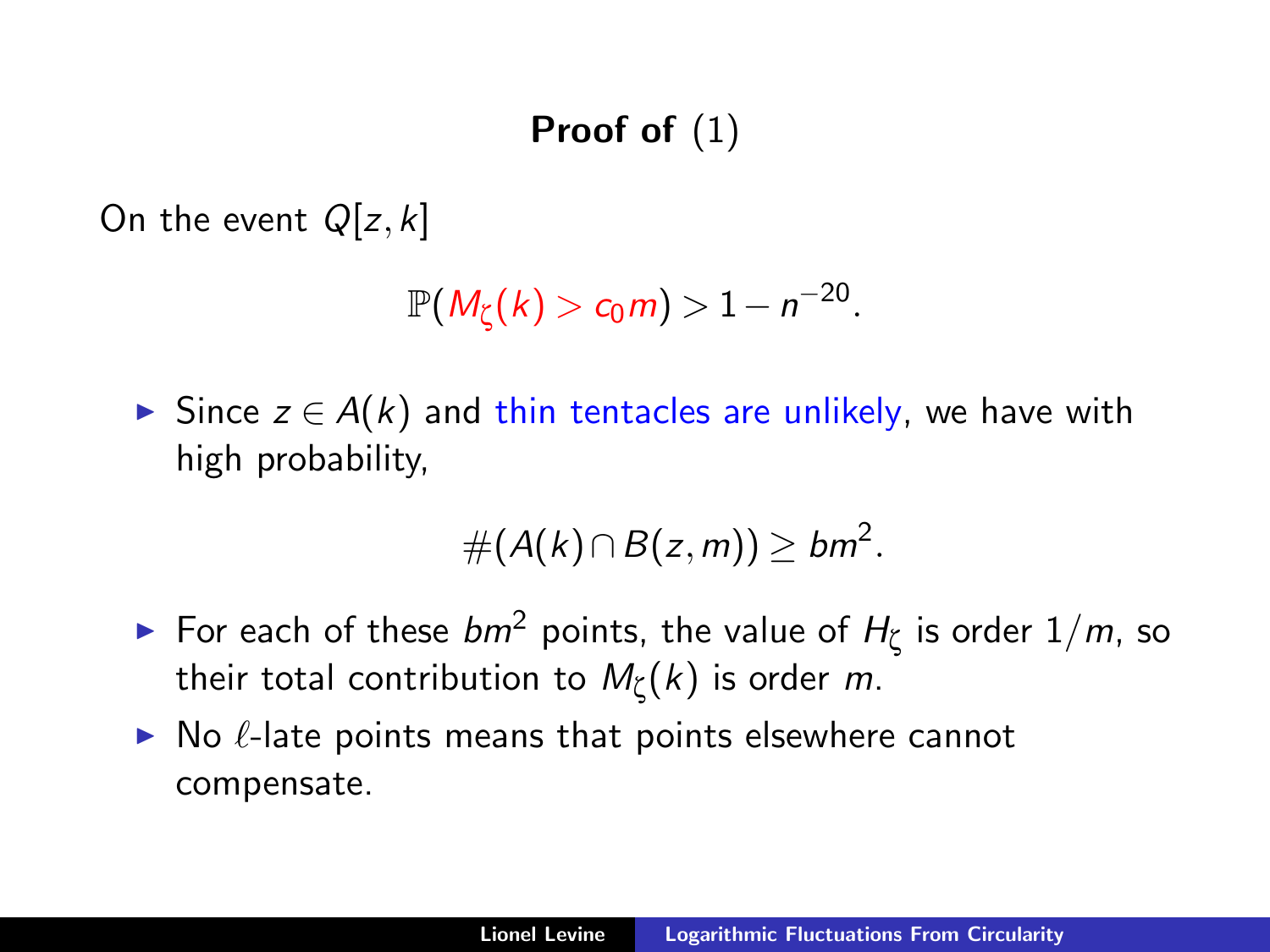## Proof of [\(1\)](#page-17-0)

On the event  $Q[z, k]$ 

$$
\mathbb{P}(M_{\zeta}(k)>c_0 m)>1-n^{-20}.
$$

► Since  $z \in A(k)$  and thin tentacles are unlikely, we have with high probability,

$$
\#(A(k)\cap B(z,m))\geq bm^2.
$$

- ► For each of these  $bm^2$  points, the value of  $H_{\zeta}$  is order  $1/m$ , so their total contribution to  $\mathit{M}_{\zeta}(k)$  is order  $m$ .
- $\triangleright$  No  $\ell$ -late points means that points elsewhere cannot compensate.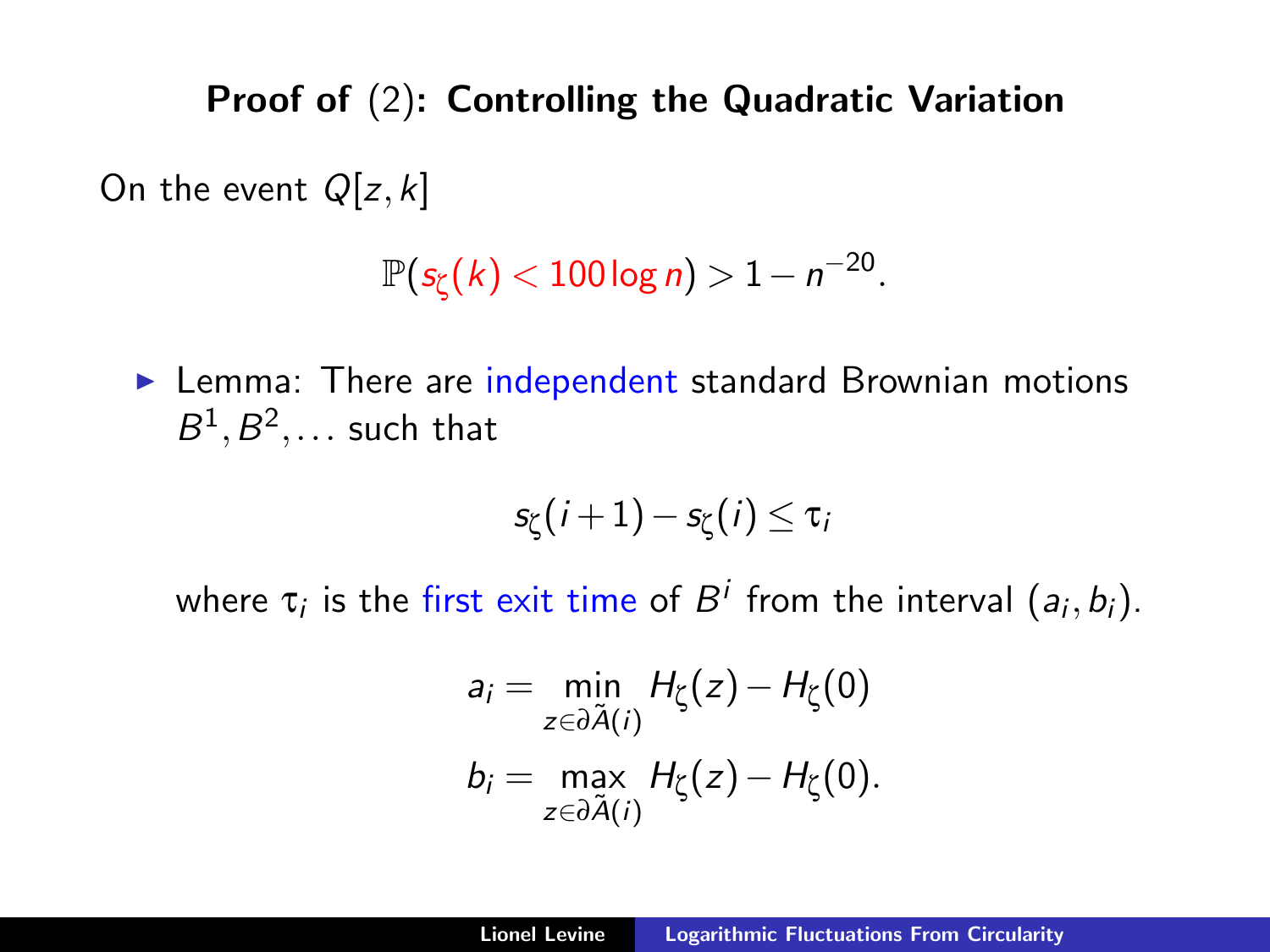## Proof of [\(2\)](#page-17-1): Controlling the Quadratic Variation

On the event  $Q[z, k]$ 

$$
\mathbb{P}(s_{\zeta}(k) < 100\log n) > 1 - n^{-20}.
$$

 $\blacktriangleright$  Lemma: There are independent standard Brownian motions  $B^1, B^2, \ldots$  such that

$$
s_{\zeta}(i+1)-s_{\zeta}(i)\leq\tau_i
$$

where  $\tau_i$  is the first exit time of  $B^i$  from the interval  $(a_i,b_i).$ 

$$
a_i = \min_{z \in \partial \tilde{A}(i)} H_{\zeta}(z) - H_{\zeta}(0)
$$
  
\n
$$
b_i = \max_{z \in \partial \tilde{A}(i)} H_{\zeta}(z) - H_{\zeta}(0).
$$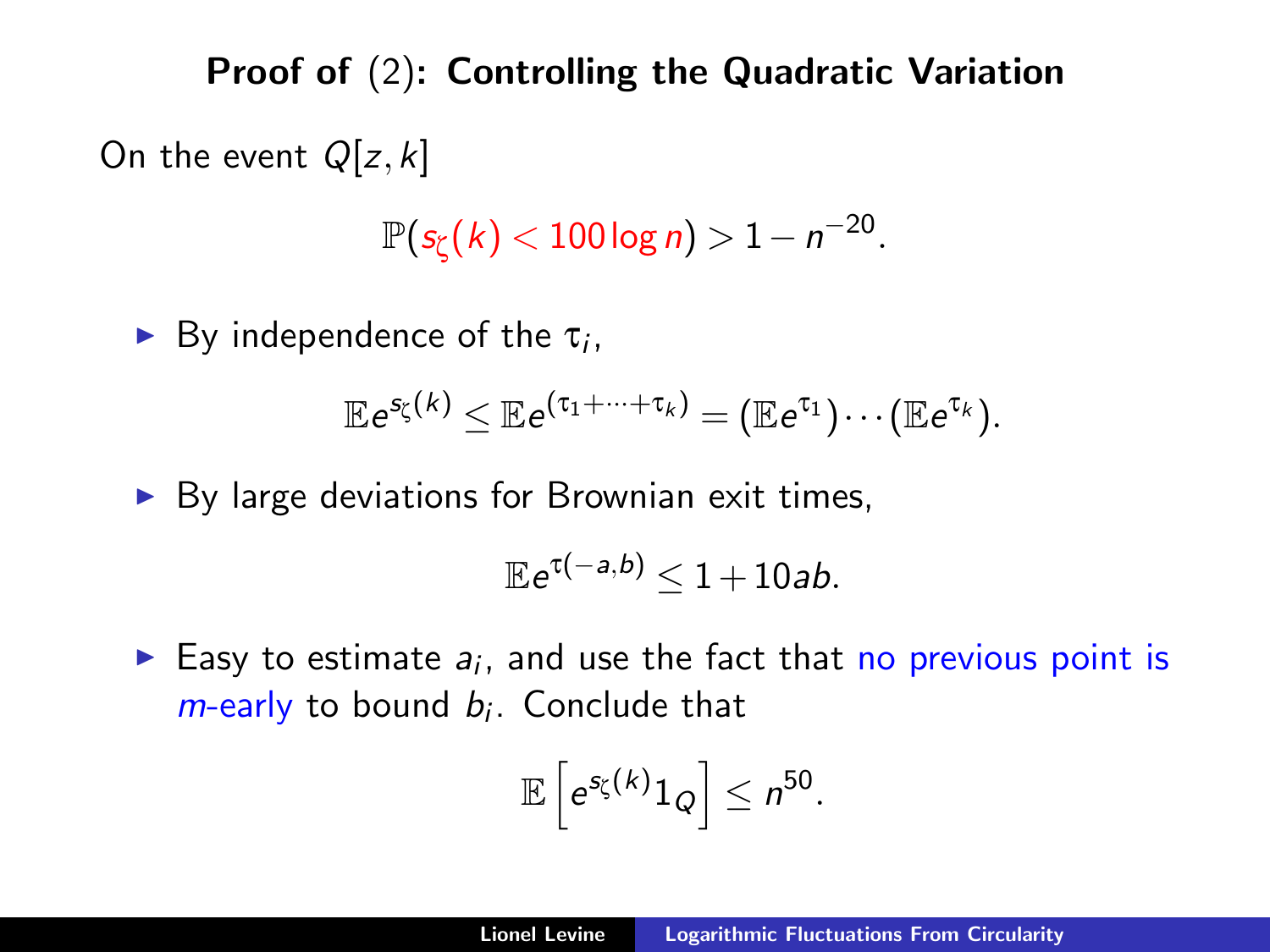Proof of [\(2\)](#page-17-1): Controlling the Quadratic Variation On the event  $Q[z, k]$ 

 $\mathbb{P}( \mathsf{s}_{\zeta} (k) < 100 \log n ) > 1 - n^{-20}.$ 

By independence of the  $\tau_i$ ,

$$
\mathbb{E}e^{s_{\zeta}(k)} \leq \mathbb{E}e^{(\tau_1 + \cdots + \tau_k)} = (\mathbb{E}e^{\tau_1}) \cdots (\mathbb{E}e^{\tau_k}).
$$

 $\triangleright$  By large deviations for Brownian exit times,

$$
\mathbb{E}e^{\tau(-a,b)}\leq 1+10ab.
$$

Easy to estimate  $a_i$ , and use the fact that no previous point is  $m$ -early to bound  $b_i$ . Conclude that

$$
\mathbb{E}\left[e^{s_{\zeta}(k)}1_{Q}\right]\leq n^{50}.
$$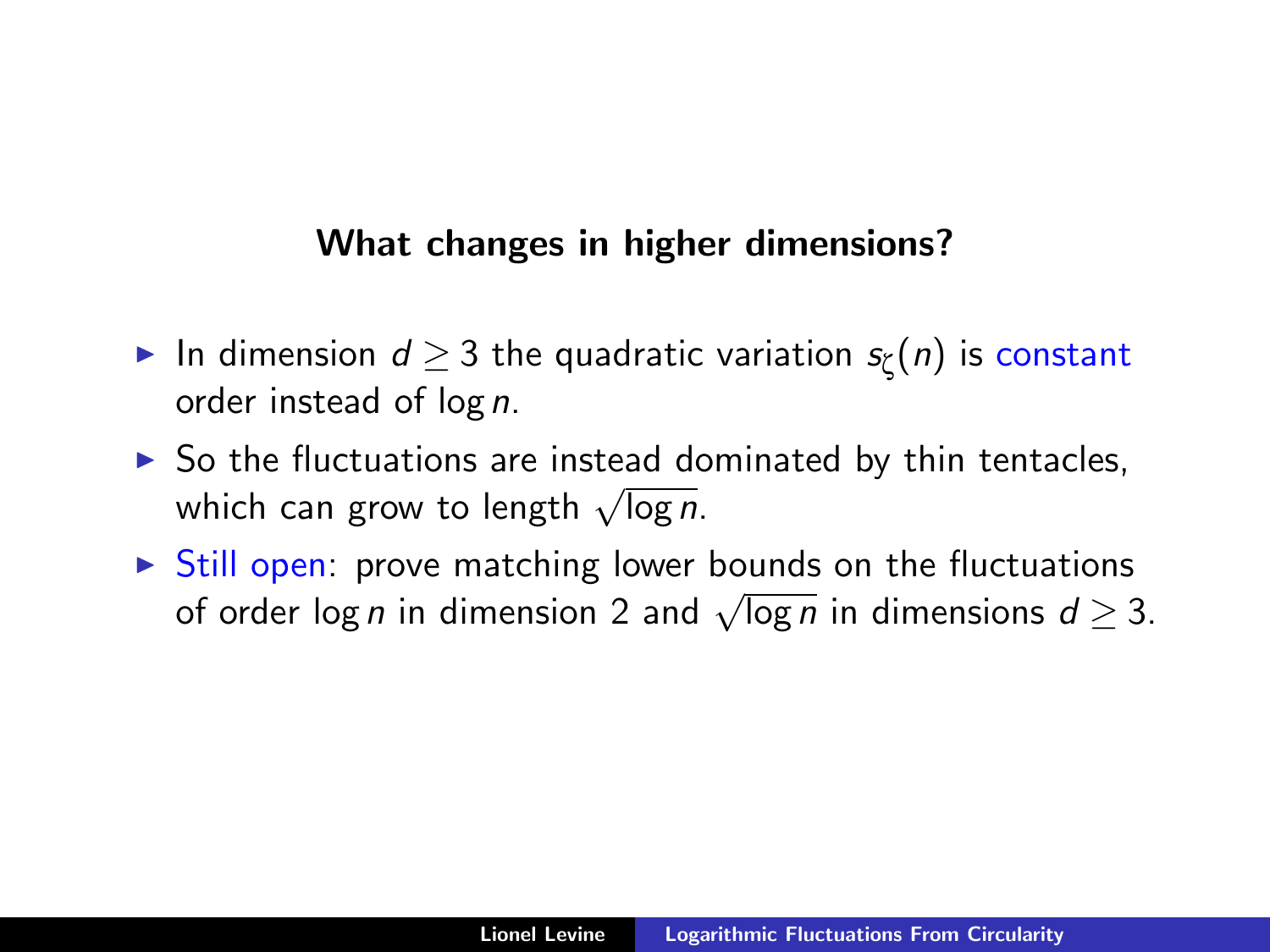## What changes in higher dimensions?

- ► In dimension  $d \geq 3$  the quadratic variation  $s_\zeta(n)$  is constant order instead of log n.
- $\triangleright$  So the fluctuations are instead dominated by thin tentacles, so the nuctuations are instead do<br>which can grow to length  $\sqrt{\log n}$ .
- $\triangleright$  Still open: prove matching lower bounds on the fluctuations Still open. prove matching lower bounds on the includations d  $\geq 3$ .